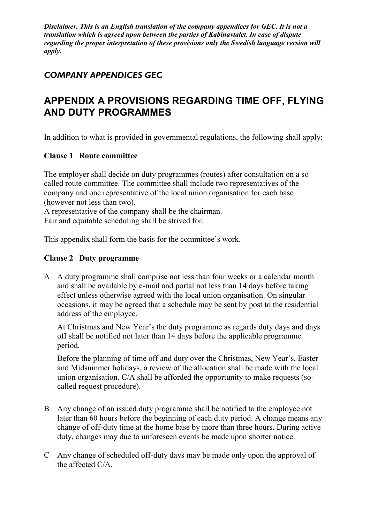*Disclaimer. This is an English translation of the company appendices for GEC. It is not a translation which is agreed upon between the parties of Kabinavtalet. In case of dispute regarding the proper interpretation of these provisions only the Swedish language version will apply.*

## *COMPANY APPENDICES GEC*

# **APPENDIX A PROVISIONS REGARDING TIME OFF, FLYING AND DUTY PROGRAMMES**

In addition to what is provided in governmental regulations, the following shall apply:

#### **Clause 1 Route committee**

The employer shall decide on duty programmes (routes) after consultation on a socalled route committee. The committee shall include two representatives of the company and one representative of the local union organisation for each base (however not less than two).

A representative of the company shall be the chairman. Fair and equitable scheduling shall be strived for.

This appendix shall form the basis for the committee's work.

#### **Clause 2 Duty programme**

A A duty programme shall comprise not less than four weeks or a calendar month and shall be available by e-mail and portal not less than 14 days before taking effect unless otherwise agreed with the local union organisation. On singular occasions, it may be agreed that a schedule may be sent by post to the residential address of the employee.

At Christmas and New Year's the duty programme as regards duty days and days off shall be notified not later than 14 days before the applicable programme period.

Before the planning of time off and duty over the Christmas, New Year's, Easter and Midsummer holidays, a review of the allocation shall be made with the local union organisation. C/A shall be afforded the opportunity to make requests (socalled request procedure).

- B Any change of an issued duty programme shall be notified to the employee not later than 60 hours before the beginning of each duty period. A change means any change of off-duty time at the home base by more than three hours. During active duty, changes may due to unforeseen events be made upon shorter notice.
- C Any change of scheduled off-duty days may be made only upon the approval of the affected C/A.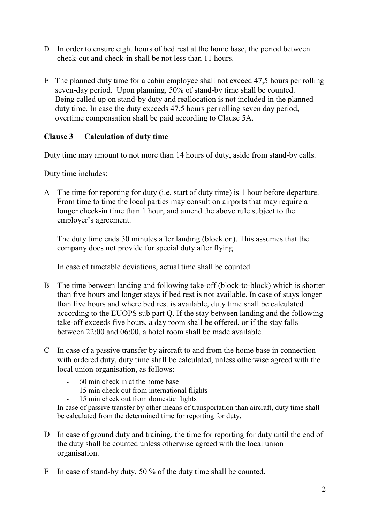- D In order to ensure eight hours of bed rest at the home base, the period between check-out and check-in shall be not less than 11 hours.
- E The planned duty time for a cabin employee shall not exceed 47,5 hours per rolling seven-day period. Upon planning, 50% of stand-by time shall be counted. Being called up on stand-by duty and reallocation is not included in the planned duty time. In case the duty exceeds 47.5 hours per rolling seven day period, overtime compensation shall be paid according to Clause 5A.

## **Clause 3 Calculation of duty time**

Duty time may amount to not more than 14 hours of duty, aside from stand-by calls.

Duty time includes:

A The time for reporting for duty (i.e. start of duty time) is 1 hour before departure. From time to time the local parties may consult on airports that may require a longer check-in time than 1 hour, and amend the above rule subject to the employer's agreement.

The duty time ends 30 minutes after landing (block on). This assumes that the company does not provide for special duty after flying.

In case of timetable deviations, actual time shall be counted.

- B The time between landing and following take-off (block-to-block) which is shorter than five hours and longer stays if bed rest is not available. In case of stays longer than five hours and where bed rest is available, duty time shall be calculated according to the EUOPS sub part Q. If the stay between landing and the following take-off exceeds five hours, a day room shall be offered, or if the stay falls between 22:00 and 06:00, a hotel room shall be made available.
- C In case of a passive transfer by aircraft to and from the home base in connection with ordered duty, duty time shall be calculated, unless otherwise agreed with the local union organisation, as follows:
	- 60 min check in at the home base
	- 15 min check out from international flights
	- 15 min check out from domestic flights

In case of passive transfer by other means of transportation than aircraft, duty time shall be calculated from the determined time for reporting for duty.

- D In case of ground duty and training, the time for reporting for duty until the end of the duty shall be counted unless otherwise agreed with the local union organisation.
- E In case of stand-by duty, 50 % of the duty time shall be counted.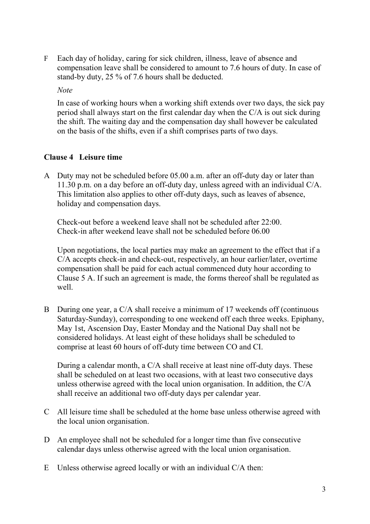F Each day of holiday, caring for sick children, illness, leave of absence and compensation leave shall be considered to amount to 7.6 hours of duty. In case of stand-by duty, 25 % of 7.6 hours shall be deducted.

#### *Note*

In case of working hours when a working shift extends over two days, the sick pay period shall always start on the first calendar day when the C/A is out sick during the shift. The waiting day and the compensation day shall however be calculated on the basis of the shifts, even if a shift comprises parts of two days.

### **Clause 4 Leisure time**

A Duty may not be scheduled before 05.00 a.m. after an off-duty day or later than 11.30 p.m. on a day before an off-duty day, unless agreed with an individual C/A. This limitation also applies to other off-duty days, such as leaves of absence, holiday and compensation days.

Check-out before a weekend leave shall not be scheduled after 22:00. Check-in after weekend leave shall not be scheduled before 06.00

Upon negotiations, the local parties may make an agreement to the effect that if a C/A accepts check-in and check-out, respectively, an hour earlier/later, overtime compensation shall be paid for each actual commenced duty hour according to Clause 5 A. If such an agreement is made, the forms thereof shall be regulated as well.

B During one year, a C/A shall receive a minimum of 17 weekends off (continuous Saturday-Sunday), corresponding to one weekend off each three weeks. Epiphany, May 1st, Ascension Day, Easter Monday and the National Day shall not be considered holidays. At least eight of these holidays shall be scheduled to comprise at least 60 hours of off-duty time between CO and CI.

During a calendar month, a C/A shall receive at least nine off-duty days. These shall be scheduled on at least two occasions, with at least two consecutive days unless otherwise agreed with the local union organisation. In addition, the C/A shall receive an additional two off-duty days per calendar year.

- C All leisure time shall be scheduled at the home base unless otherwise agreed with the local union organisation.
- D An employee shall not be scheduled for a longer time than five consecutive calendar days unless otherwise agreed with the local union organisation.
- E Unless otherwise agreed locally or with an individual C/A then: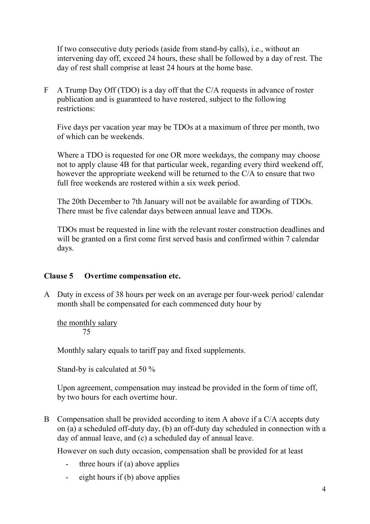If two consecutive duty periods (aside from stand-by calls), i.e., without an intervening day off, exceed 24 hours, these shall be followed by a day of rest. The day of rest shall comprise at least 24 hours at the home base.

F A Trump Day Off (TDO) is a day off that the C/A requests in advance of roster publication and is guaranteed to have rostered, subject to the following restrictions:

Five days per vacation year may be TDOs at a maximum of three per month, two of which can be weekends.

Where a TDO is requested for one OR more weekdays, the company may choose not to apply clause 4B for that particular week, regarding every third weekend off, however the appropriate weekend will be returned to the C/A to ensure that two full free weekends are rostered within a six week period.

The 20th December to 7th January will not be available for awarding of TDOs. There must be five calendar days between annual leave and TDOs.

TDOs must be requested in line with the relevant roster construction deadlines and will be granted on a first come first served basis and confirmed within 7 calendar days.

#### **Clause 5 Overtime compensation etc.**

A Duty in excess of 38 hours per week on an average per four-week period/ calendar month shall be compensated for each commenced duty hour by

the monthly salary 75

Monthly salary equals to tariff pay and fixed supplements.

Stand-by is calculated at 50 %

Upon agreement, compensation may instead be provided in the form of time off, by two hours for each overtime hour.

B Compensation shall be provided according to item A above if a C/A accepts duty on (a) a scheduled off-duty day, (b) an off-duty day scheduled in connection with a day of annual leave, and (c) a scheduled day of annual leave.

However on such duty occasion, compensation shall be provided for at least

- three hours if  $(a)$  above applies
- eight hours if (b) above applies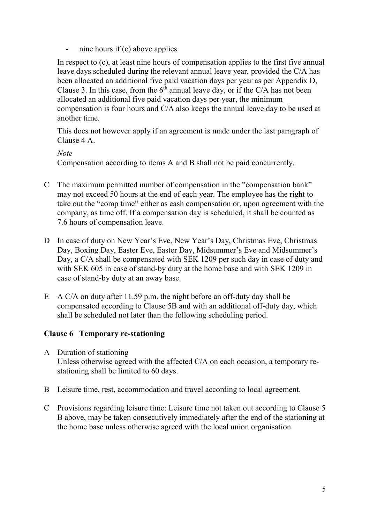nine hours if  $(c)$  above applies

In respect to (c), at least nine hours of compensation applies to the first five annual leave days scheduled during the relevant annual leave year, provided the C/A has been allocated an additional five paid vacation days per year as per Appendix D, Clause 3. In this case, from the  $6<sup>th</sup>$  annual leave day, or if the C/A has not been allocated an additional five paid vacation days per year, the minimum compensation is four hours and C/A also keeps the annual leave day to be used at another time.

This does not however apply if an agreement is made under the last paragraph of Clause 4 A.

*Note*

Compensation according to items A and B shall not be paid concurrently.

- C The maximum permitted number of compensation in the "compensation bank" may not exceed 50 hours at the end of each year. The employee has the right to take out the "comp time" either as cash compensation or, upon agreement with the company, as time off. If a compensation day is scheduled, it shall be counted as 7.6 hours of compensation leave.
- D In case of duty on New Year's Eve, New Year's Day, Christmas Eve, Christmas Day, Boxing Day, Easter Eve, Easter Day, Midsummer's Eve and Midsummer's Day, a C/A shall be compensated with SEK 1209 per such day in case of duty and with SEK 605 in case of stand-by duty at the home base and with SEK 1209 in case of stand-by duty at an away base.
- E A C/A on duty after 11.59 p.m. the night before an off-duty day shall be compensated according to Clause 5B and with an additional off-duty day, which shall be scheduled not later than the following scheduling period.

#### **Clause 6 Temporary re-stationing**

- A Duration of stationing Unless otherwise agreed with the affected C/A on each occasion, a temporary restationing shall be limited to 60 days.
- B Leisure time, rest, accommodation and travel according to local agreement.
- C Provisions regarding leisure time: Leisure time not taken out according to Clause 5 B above, may be taken consecutively immediately after the end of the stationing at the home base unless otherwise agreed with the local union organisation.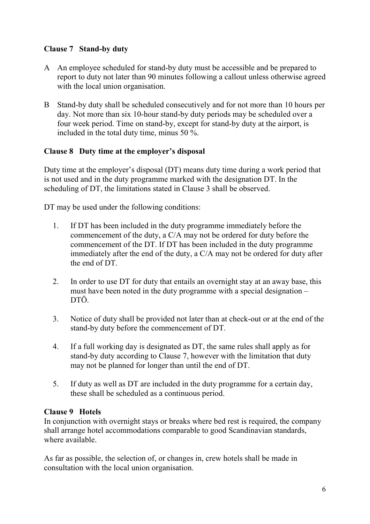## **Clause 7 Stand-by duty**

- A An employee scheduled for stand-by duty must be accessible and be prepared to report to duty not later than 90 minutes following a callout unless otherwise agreed with the local union organisation.
- B Stand-by duty shall be scheduled consecutively and for not more than 10 hours per day. Not more than six 10-hour stand-by duty periods may be scheduled over a four week period. Time on stand-by, except for stand-by duty at the airport, is included in the total duty time, minus 50 %.

## **Clause 8 Duty time at the employer's disposal**

Duty time at the employer's disposal (DT) means duty time during a work period that is not used and in the duty programme marked with the designation DT. In the scheduling of DT, the limitations stated in Clause 3 shall be observed.

DT may be used under the following conditions:

- 1. If DT has been included in the duty programme immediately before the commencement of the duty, a C/A may not be ordered for duty before the commencement of the DT. If DT has been included in the duty programme immediately after the end of the duty, a C/A may not be ordered for duty after the end of DT.
- 2. In order to use DT for duty that entails an overnight stay at an away base, this must have been noted in the duty programme with a special designation – DTÖ.
- 3. Notice of duty shall be provided not later than at check-out or at the end of the stand-by duty before the commencement of DT.
- 4. If a full working day is designated as DT, the same rules shall apply as for stand-by duty according to Clause 7, however with the limitation that duty may not be planned for longer than until the end of DT.
- 5. If duty as well as DT are included in the duty programme for a certain day, these shall be scheduled as a continuous period.

#### **Clause 9 Hotels**

In conjunction with overnight stays or breaks where bed rest is required, the company shall arrange hotel accommodations comparable to good Scandinavian standards, where available.

As far as possible, the selection of, or changes in, crew hotels shall be made in consultation with the local union organisation.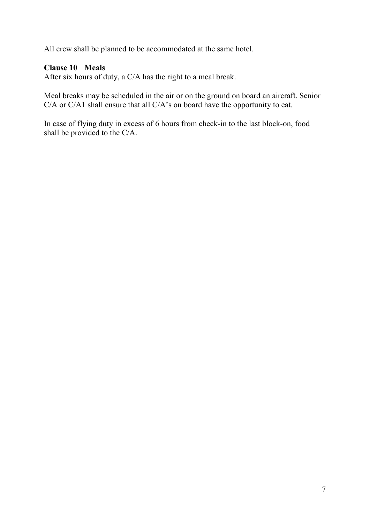All crew shall be planned to be accommodated at the same hotel.

## **Clause 10 Meals**

After six hours of duty, a C/A has the right to a meal break.

Meal breaks may be scheduled in the air or on the ground on board an aircraft. Senior C/A or C/A1 shall ensure that all C/A's on board have the opportunity to eat.

In case of flying duty in excess of 6 hours from check-in to the last block-on, food shall be provided to the C/A.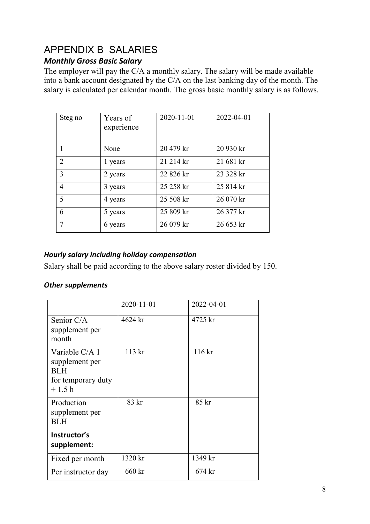# APPENDIX B SALARIES

## *Monthly Gross Basic Salary*

The employer will pay the C/A a monthly salary. The salary will be made available into a bank account designated by the C/A on the last banking day of the month. The salary is calculated per calendar month. The gross basic monthly salary is as follows.

| Steg no        | Years of<br>experience | 2020-11-01 | 2022-04-01 |
|----------------|------------------------|------------|------------|
|                | None                   | 20 479 kr  | 20 930 kr  |
| 2              | 1 years                | 21 214 kr  | 21 681 kr  |
| 3              | 2 years                | 22 826 kr  | 23 328 kr  |
| $\overline{4}$ | 3 years                | 25 258 kr  | 25 814 kr  |
| 5              | 4 years                | 25 508 kr  | 26 070 kr  |
| 6              | 5 years                | 25 809 kr  | 26 377 kr  |
| 7              | 6 years                | 26 079 kr  | 26 653 kr  |

## *Hourly salary including holiday compensation*

Salary shall be paid according to the above salary roster divided by 150.

## *Other supplements*

|                                                                                 | 2020-11-01 | 2022-04-01 |
|---------------------------------------------------------------------------------|------------|------------|
| Senior C/A<br>supplement per<br>month                                           | 4624 kr    | 4725 kr    |
| Variable C/A 1<br>supplement per<br><b>BLH</b><br>for temporary duty<br>$+1.5h$ | 113 kr     | 116 kr     |
| Production<br>supplement per<br>BL H                                            | 83 kr      | 85 kr      |
| Instructor's<br>supplement:                                                     |            |            |
| Fixed per month                                                                 | 1320 kr    | 1349 kr    |
| Per instructor day                                                              | 660 kr     | $674$ kr   |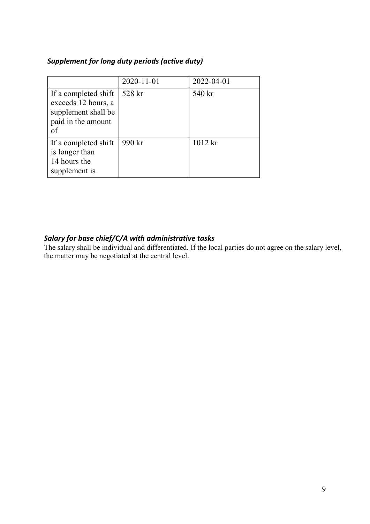### *Supplement for long duty periods (active duty)*

|                                                                                                | 2020-11-01 | 2022-04-01 |
|------------------------------------------------------------------------------------------------|------------|------------|
| If a completed shift<br>exceeds 12 hours, a<br>supplement shall be<br>paid in the amount<br>of | 528 kr     | 540 kr     |
| If a completed shift<br>is longer than<br>14 hours the<br>supplement is                        | 990 kr     | $1012$ kr  |

## *Salary for base chief/C/A with administrative tasks*

The salary shall be individual and differentiated. If the local parties do not agree on the salary level, the matter may be negotiated at the central level.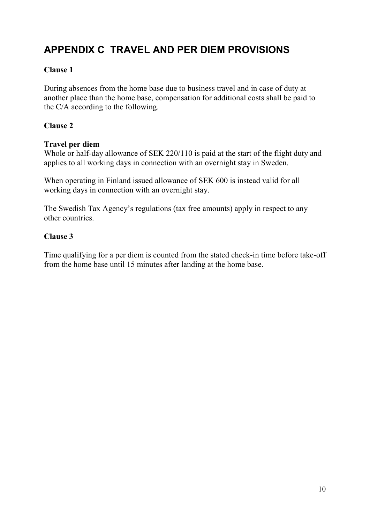# **APPENDIX C TRAVEL AND PER DIEM PROVISIONS**

### **Clause 1**

During absences from the home base due to business travel and in case of duty at another place than the home base, compensation for additional costs shall be paid to the C/A according to the following.

### **Clause 2**

#### **Travel per diem**

Whole or half-day allowance of SEK 220/110 is paid at the start of the flight duty and applies to all working days in connection with an overnight stay in Sweden.

When operating in Finland issued allowance of SEK 600 is instead valid for all working days in connection with an overnight stay.

The Swedish Tax Agency's regulations (tax free amounts) apply in respect to any other countries.

#### **Clause 3**

Time qualifying for a per diem is counted from the stated check-in time before take-off from the home base until 15 minutes after landing at the home base.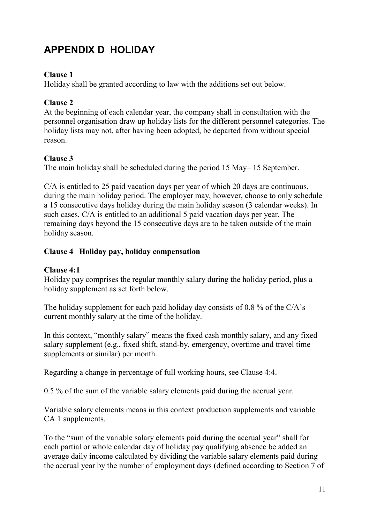# **APPENDIX D HOLIDAY**

## **Clause 1**

Holiday shall be granted according to law with the additions set out below.

## **Clause 2**

At the beginning of each calendar year, the company shall in consultation with the personnel organisation draw up holiday lists for the different personnel categories. The holiday lists may not, after having been adopted, be departed from without special reason.

## **Clause 3**

The main holiday shall be scheduled during the period 15 May– 15 September.

C/A is entitled to 25 paid vacation days per year of which 20 days are continuous, during the main holiday period. The employer may, however, choose to only schedule a 15 consecutive days holiday during the main holiday season (3 calendar weeks). In such cases, C/A is entitled to an additional 5 paid vacation days per year. The remaining days beyond the 15 consecutive days are to be taken outside of the main holiday season.

## **Clause 4 Holiday pay, holiday compensation**

## **Clause 4:1**

Holiday pay comprises the regular monthly salary during the holiday period, plus a holiday supplement as set forth below.

The holiday supplement for each paid holiday day consists of 0.8 % of the C/A's current monthly salary at the time of the holiday.

In this context, "monthly salary" means the fixed cash monthly salary, and any fixed salary supplement (e.g., fixed shift, stand-by, emergency, overtime and travel time supplements or similar) per month.

Regarding a change in percentage of full working hours, see Clause 4:4.

0.5 % of the sum of the variable salary elements paid during the accrual year.

Variable salary elements means in this context production supplements and variable CA 1 supplements.

To the "sum of the variable salary elements paid during the accrual year" shall for each partial or whole calendar day of holiday pay qualifying absence be added an average daily income calculated by dividing the variable salary elements paid during the accrual year by the number of employment days (defined according to Section 7 of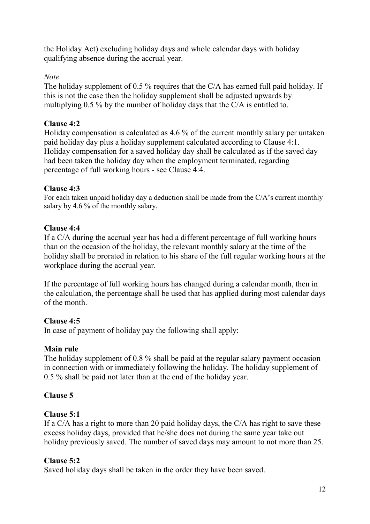the Holiday Act) excluding holiday days and whole calendar days with holiday qualifying absence during the accrual year.

## *Note*

The holiday supplement of 0.5 % requires that the C/A has earned full paid holiday. If this is not the case then the holiday supplement shall be adjusted upwards by multiplying 0.5 % by the number of holiday days that the C/A is entitled to.

## **Clause 4:2**

Holiday compensation is calculated as 4.6 % of the current monthly salary per untaken paid holiday day plus a holiday supplement calculated according to Clause 4:1. Holiday compensation for a saved holiday day shall be calculated as if the saved day had been taken the holiday day when the employment terminated, regarding percentage of full working hours - see Clause 4:4.

### **Clause 4:3**

For each taken unpaid holiday day a deduction shall be made from the C/A's current monthly salary by 4.6 % of the monthly salary.

## **Clause 4:4**

If a C/A during the accrual year has had a different percentage of full working hours than on the occasion of the holiday, the relevant monthly salary at the time of the holiday shall be prorated in relation to his share of the full regular working hours at the workplace during the accrual year.

If the percentage of full working hours has changed during a calendar month, then in the calculation, the percentage shall be used that has applied during most calendar days of the month.

## **Clause 4:5**

In case of payment of holiday pay the following shall apply:

## **Main rule**

The holiday supplement of 0.8 % shall be paid at the regular salary payment occasion in connection with or immediately following the holiday. The holiday supplement of 0.5 % shall be paid not later than at the end of the holiday year.

## **Clause 5**

## **Clause 5:1**

If a C/A has a right to more than 20 paid holiday days, the C/A has right to save these excess holiday days, provided that he/she does not during the same year take out holiday previously saved. The number of saved days may amount to not more than 25.

## **Clause 5:2**

Saved holiday days shall be taken in the order they have been saved.